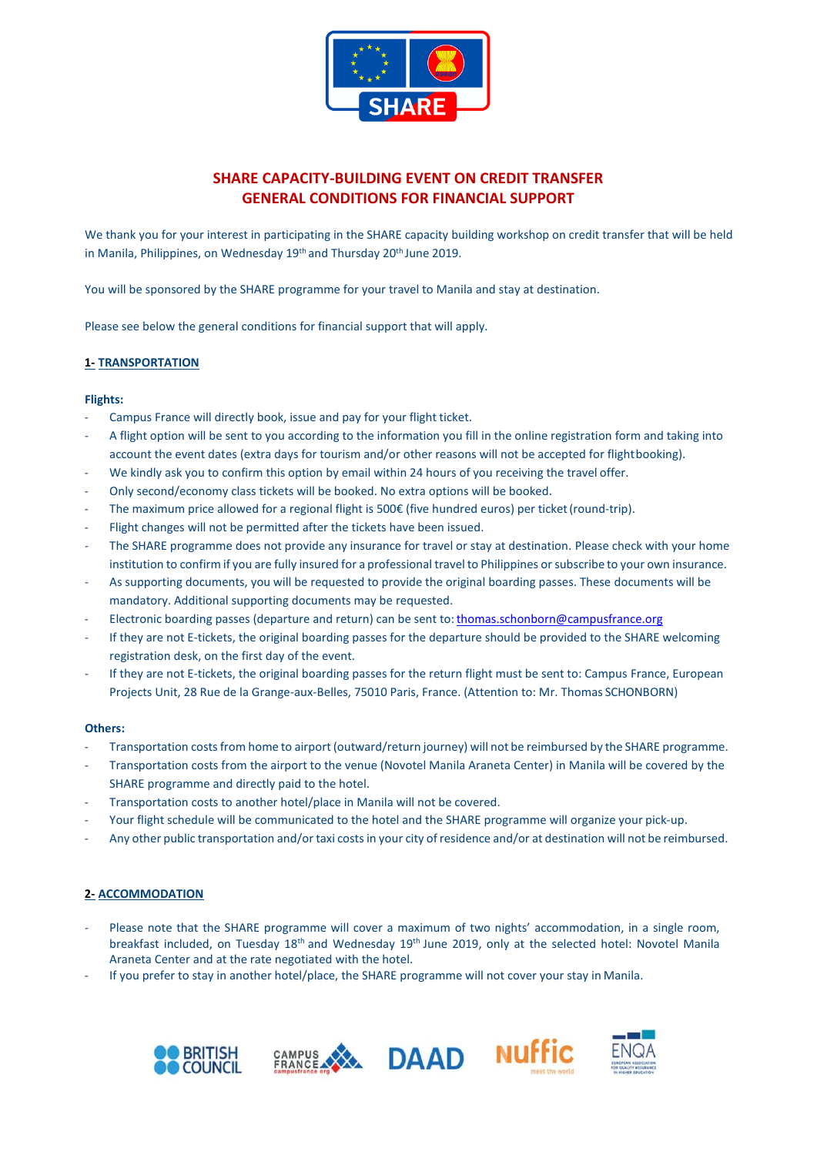

# **SHARE CAPACITY-BUILDING EVENT ON CREDIT TRANSFER GENERAL CONDITIONS FOR FINANCIAL SUPPORT**

We thank you for your interest in participating in the SHARE capacity building workshop on credit transfer that will be held in Manila, Philippines, on Wednesday 19<sup>th</sup> and Thursday 20<sup>th</sup> June 2019.

You will be sponsored by the SHARE programme for your travel to Manila and stay at destination.

Please see below the general conditions for financial support that will apply.

### **1- TRANSPORTATION**

#### **Flights:**

- Campus France will directly book, issue and pay for your flight ticket.
- A flight option will be sent to you according to the information you fill in the online registration form and taking into account the event dates (extra days for tourism and/or other reasons will not be accepted for flightbooking).
- We kindly ask you to confirm this option by email within 24 hours of you receiving the travel offer.
- Only second/economy class tickets will be booked. No extra options will be booked.
- The maximum price allowed for a regional flight is 500€ (five hundred euros) per ticket (round-trip).
- Flight changes will not be permitted after the tickets have been issued.
- The SHARE programme does not provide any insurance for travel or stay at destination. Please check with your home institution to confirm if you are fully insured for a professional travelto Philippines orsubscribe to your own insurance.
- As supporting documents, you will be requested to provide the original boarding passes. These documents will be mandatory. Additional supporting documents may be requested.
- Electronic boarding passes (departure and return) can be sent to: thomas.schonborn@campusfrance.org
- If they are not E-tickets, the original boarding passes for the departure should be provided to the SHARE welcoming registration desk, on the first day of the event.
- If they are not E-tickets, the original boarding passes for the return flight must be sent to: Campus France, European Projects Unit, 28 Rue de la Grange-aux-Belles, 75010 Paris, France. (Attention to: Mr. Thomas SCHONBORN)

#### **Others:**

- Transportation costs from home to airport (outward/return journey) will not be reimbursed by the SHARE programme.
- Transportation costs from the airport to the venue (Novotel Manila Araneta Center) in Manila will be covered by the SHARE programme and directly paid to the hotel.
- Transportation costs to another hotel/place in Manila will not be covered.
- Your flight schedule will be communicated to the hotel and the SHARE programme will organize your pick-up.
- Any other public transportation and/or taxi costsin your city of residence and/or at destination will not be reimbursed.

### **2- ACCOMMODATION**

- Please note that the SHARE programme will cover a maximum of two nights' accommodation, in a single room, breakfast included, on Tuesday 18<sup>th</sup> and Wednesday 19<sup>th</sup> June 2019, only at the selected hotel: Novotel Manila Araneta Center and at the rate negotiated with the hotel.
- If you prefer to stay in another hotel/place, the SHARE programme will not cover your stay in Manila.